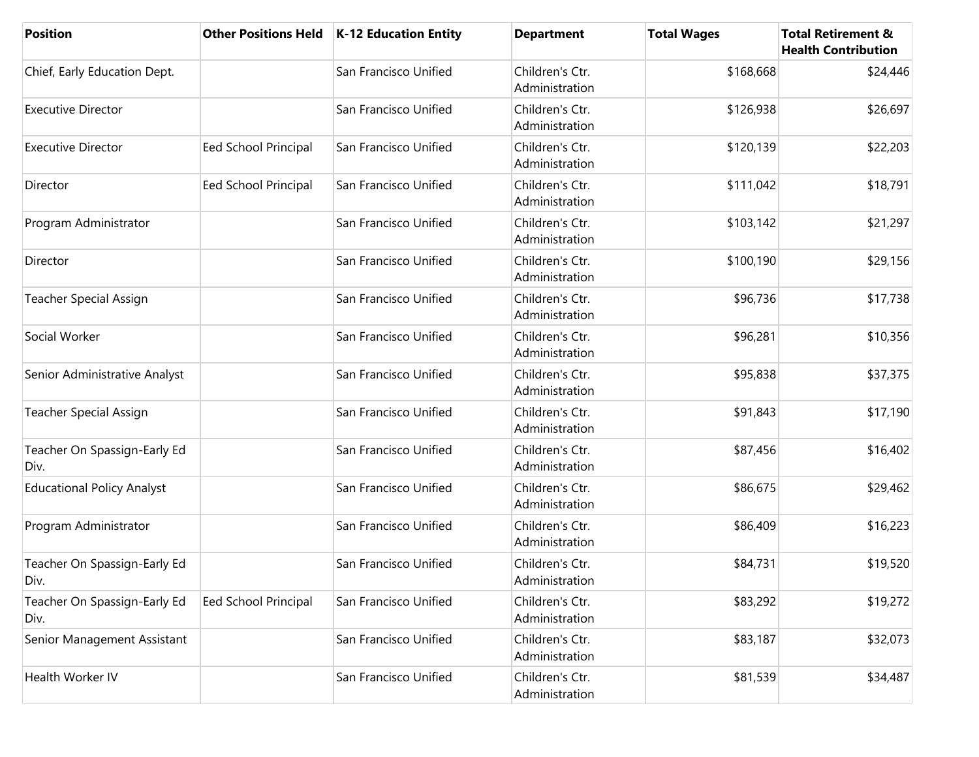| <b>Position</b>                      | <b>Other Positions Held</b> | <b>K-12 Education Entity</b> | <b>Department</b>                 | <b>Total Wages</b> | <b>Total Retirement &amp;</b><br><b>Health Contribution</b> |
|--------------------------------------|-----------------------------|------------------------------|-----------------------------------|--------------------|-------------------------------------------------------------|
| Chief, Early Education Dept.         |                             | San Francisco Unified        | Children's Ctr.<br>Administration | \$168,668          | \$24,446                                                    |
| <b>Executive Director</b>            |                             | San Francisco Unified        | Children's Ctr.<br>Administration | \$126,938          | \$26,697                                                    |
| <b>Executive Director</b>            | Eed School Principal        | San Francisco Unified        | Children's Ctr.<br>Administration | \$120,139          | \$22,203                                                    |
| Director                             | Eed School Principal        | San Francisco Unified        | Children's Ctr.<br>Administration | \$111,042          | \$18,791                                                    |
| Program Administrator                |                             | San Francisco Unified        | Children's Ctr.<br>Administration | \$103,142          | \$21,297                                                    |
| Director                             |                             | San Francisco Unified        | Children's Ctr.<br>Administration | \$100,190          | \$29,156                                                    |
| <b>Teacher Special Assign</b>        |                             | San Francisco Unified        | Children's Ctr.<br>Administration | \$96,736           | \$17,738                                                    |
| Social Worker                        |                             | San Francisco Unified        | Children's Ctr.<br>Administration | \$96,281           | \$10,356                                                    |
| Senior Administrative Analyst        |                             | San Francisco Unified        | Children's Ctr.<br>Administration | \$95,838           | \$37,375                                                    |
| <b>Teacher Special Assign</b>        |                             | San Francisco Unified        | Children's Ctr.<br>Administration | \$91,843           | \$17,190                                                    |
| Teacher On Spassign-Early Ed<br>Div. |                             | San Francisco Unified        | Children's Ctr.<br>Administration | \$87,456           | \$16,402                                                    |
| <b>Educational Policy Analyst</b>    |                             | San Francisco Unified        | Children's Ctr.<br>Administration | \$86,675           | \$29,462                                                    |
| Program Administrator                |                             | San Francisco Unified        | Children's Ctr.<br>Administration | \$86,409           | \$16,223                                                    |
| Teacher On Spassign-Early Ed<br>Div. |                             | San Francisco Unified        | Children's Ctr.<br>Administration | \$84,731           | \$19,520                                                    |
| Teacher On Spassign-Early Ed<br>Div. | <b>Eed School Principal</b> | San Francisco Unified        | Children's Ctr.<br>Administration | \$83,292           | \$19,272                                                    |
| Senior Management Assistant          |                             | San Francisco Unified        | Children's Ctr.<br>Administration | \$83,187           | \$32,073                                                    |
| Health Worker IV                     |                             | San Francisco Unified        | Children's Ctr.<br>Administration | \$81,539           | \$34,487                                                    |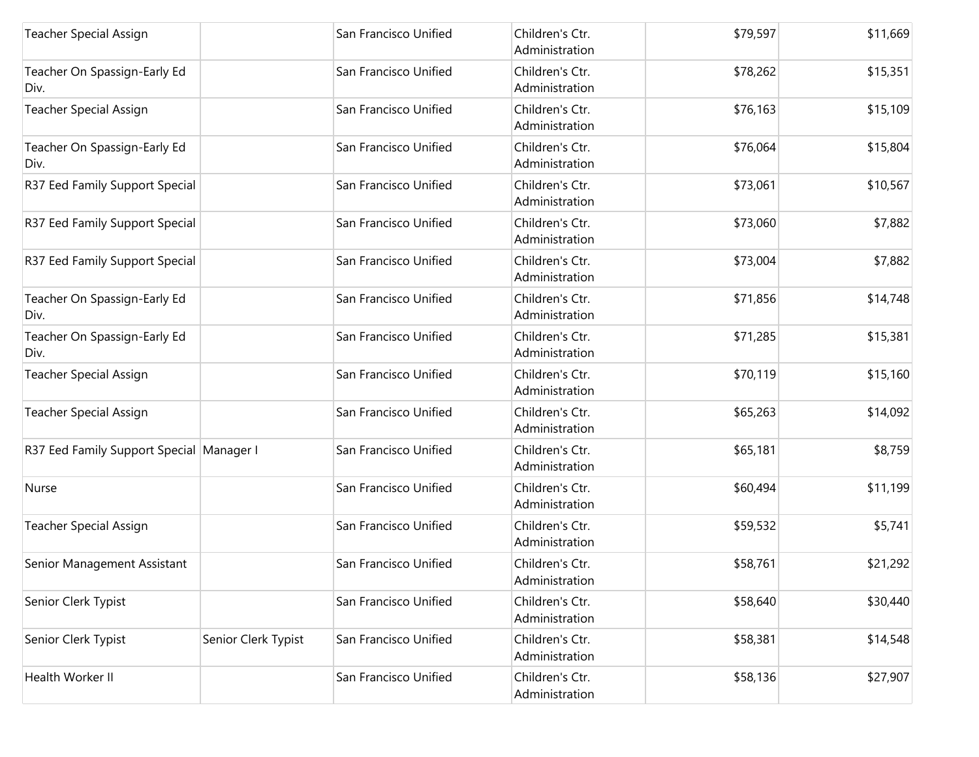| Teacher Special Assign                   |                     | San Francisco Unified | Children's Ctr.<br>Administration | \$79,597 | \$11,669 |
|------------------------------------------|---------------------|-----------------------|-----------------------------------|----------|----------|
| Teacher On Spassign-Early Ed<br>Div.     |                     | San Francisco Unified | Children's Ctr.<br>Administration | \$78,262 | \$15,351 |
| <b>Teacher Special Assign</b>            |                     | San Francisco Unified | Children's Ctr.<br>Administration | \$76,163 | \$15,109 |
| Teacher On Spassign-Early Ed<br>Div.     |                     | San Francisco Unified | Children's Ctr.<br>Administration | \$76,064 | \$15,804 |
| R37 Eed Family Support Special           |                     | San Francisco Unified | Children's Ctr.<br>Administration | \$73,061 | \$10,567 |
| R37 Eed Family Support Special           |                     | San Francisco Unified | Children's Ctr.<br>Administration | \$73,060 | \$7,882  |
| R37 Eed Family Support Special           |                     | San Francisco Unified | Children's Ctr.<br>Administration | \$73,004 | \$7,882  |
| Teacher On Spassign-Early Ed<br>Div.     |                     | San Francisco Unified | Children's Ctr.<br>Administration | \$71,856 | \$14,748 |
| Teacher On Spassign-Early Ed<br>Div.     |                     | San Francisco Unified | Children's Ctr.<br>Administration | \$71,285 | \$15,381 |
| <b>Teacher Special Assign</b>            |                     | San Francisco Unified | Children's Ctr.<br>Administration | \$70,119 | \$15,160 |
| <b>Teacher Special Assign</b>            |                     | San Francisco Unified | Children's Ctr.<br>Administration | \$65,263 | \$14,092 |
| R37 Eed Family Support Special Manager I |                     | San Francisco Unified | Children's Ctr.<br>Administration | \$65,181 | \$8,759  |
| Nurse                                    |                     | San Francisco Unified | Children's Ctr.<br>Administration | \$60,494 | \$11,199 |
| <b>Teacher Special Assign</b>            |                     | San Francisco Unified | Children's Ctr.<br>Administration | \$59,532 | \$5,741  |
| Senior Management Assistant              |                     | San Francisco Unified | Children's Ctr.<br>Administration | \$58,761 | \$21,292 |
| Senior Clerk Typist                      |                     | San Francisco Unified | Children's Ctr.<br>Administration | \$58,640 | \$30,440 |
| Senior Clerk Typist                      | Senior Clerk Typist | San Francisco Unified | Children's Ctr.<br>Administration | \$58,381 | \$14,548 |
| Health Worker II                         |                     | San Francisco Unified | Children's Ctr.<br>Administration | \$58,136 | \$27,907 |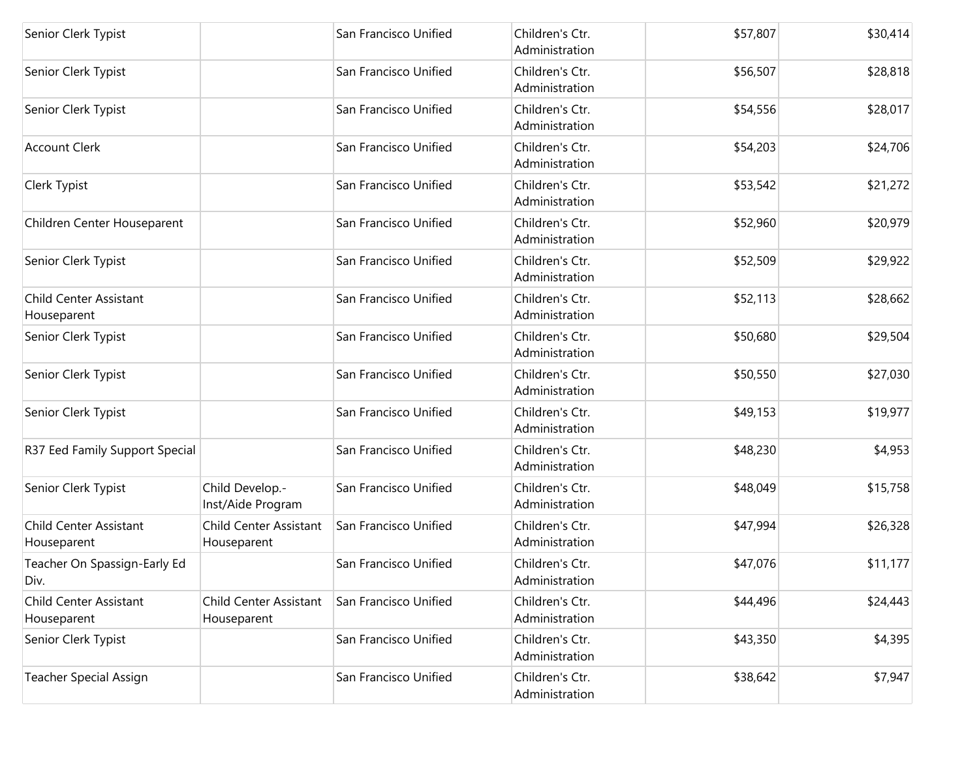| Senior Clerk Typist                   |                                              | San Francisco Unified | Children's Ctr.<br>Administration | \$57,807 | \$30,414 |
|---------------------------------------|----------------------------------------------|-----------------------|-----------------------------------|----------|----------|
| Senior Clerk Typist                   |                                              | San Francisco Unified | Children's Ctr.<br>Administration | \$56,507 | \$28,818 |
| Senior Clerk Typist                   |                                              | San Francisco Unified | Children's Ctr.<br>Administration | \$54,556 | \$28,017 |
| <b>Account Clerk</b>                  |                                              | San Francisco Unified | Children's Ctr.<br>Administration | \$54,203 | \$24,706 |
| Clerk Typist                          |                                              | San Francisco Unified | Children's Ctr.<br>Administration | \$53,542 | \$21,272 |
| Children Center Houseparent           |                                              | San Francisco Unified | Children's Ctr.<br>Administration | \$52,960 | \$20,979 |
| Senior Clerk Typist                   |                                              | San Francisco Unified | Children's Ctr.<br>Administration | \$52,509 | \$29,922 |
| Child Center Assistant<br>Houseparent |                                              | San Francisco Unified | Children's Ctr.<br>Administration | \$52,113 | \$28,662 |
| Senior Clerk Typist                   |                                              | San Francisco Unified | Children's Ctr.<br>Administration | \$50,680 | \$29,504 |
| Senior Clerk Typist                   |                                              | San Francisco Unified | Children's Ctr.<br>Administration | \$50,550 | \$27,030 |
| Senior Clerk Typist                   |                                              | San Francisco Unified | Children's Ctr.<br>Administration | \$49,153 | \$19,977 |
| R37 Eed Family Support Special        |                                              | San Francisco Unified | Children's Ctr.<br>Administration | \$48,230 | \$4,953  |
| Senior Clerk Typist                   | Child Develop.-<br>Inst/Aide Program         | San Francisco Unified | Children's Ctr.<br>Administration | \$48,049 | \$15,758 |
| Child Center Assistant<br>Houseparent | <b>Child Center Assistant</b><br>Houseparent | San Francisco Unified | Children's Ctr.<br>Administration | \$47,994 | \$26,328 |
| Teacher On Spassign-Early Ed<br>Div.  |                                              | San Francisco Unified | Children's Ctr.<br>Administration | \$47,076 | \$11,177 |
| Child Center Assistant<br>Houseparent | <b>Child Center Assistant</b><br>Houseparent | San Francisco Unified | Children's Ctr.<br>Administration | \$44,496 | \$24,443 |
| Senior Clerk Typist                   |                                              | San Francisco Unified | Children's Ctr.<br>Administration | \$43,350 | \$4,395  |
| <b>Teacher Special Assign</b>         |                                              | San Francisco Unified | Children's Ctr.<br>Administration | \$38,642 | \$7,947  |